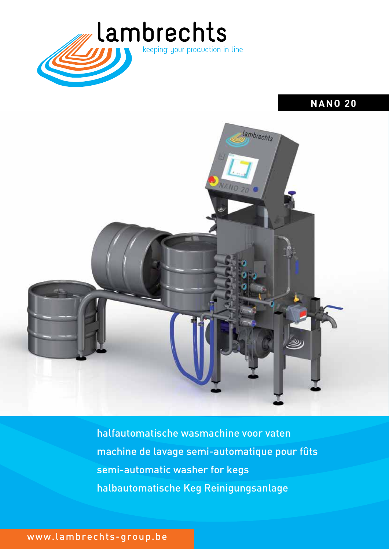

# **NANO 20**



halfautomatische wasmachine voor vaten machine de lavage semi-automatique pour fûts semi-automatic washer for kegs halbautomatische Keg Reinigungsanlage